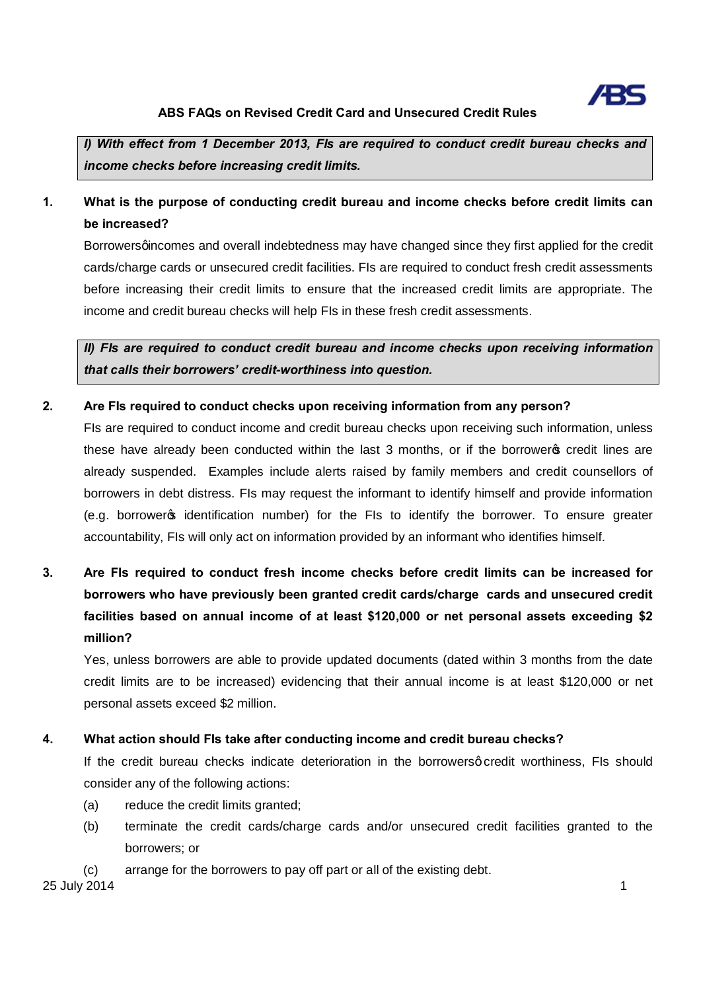

*I) With effect from 1 December 2013, FIs are required to conduct credit bureau checks and income checks before increasing credit limits.*

# **1. What is the purpose of conducting credit bureau and income checks before credit limits can be increased?**

Borrowersgincomes and overall indebtedness may have changed since they first applied for the credit cards/charge cards or unsecured credit facilities. FIs are required to conduct fresh credit assessments before increasing their credit limits to ensure that the increased credit limits are appropriate. The income and credit bureau checks will help FIs in these fresh credit assessments.

*II) FIs are required to conduct credit bureau and income checks upon receiving information that calls their borrowers' credit-worthiness into question.*

### **2. Are FIs required to conduct checks upon receiving information from any person?**

FIs are required to conduct income and credit bureau checks upon receiving such information, unless these have already been conducted within the last 3 months, or if the borrowers credit lines are already suspended. Examples include alerts raised by family members and credit counsellors of borrowers in debt distress. FIs may request the informant to identify himself and provide information (e.g. borrower's identification number) for the FIs to identify the borrower. To ensure greater accountability, FIs will only act on information provided by an informant who identifies himself.

**3. Are FIs required to conduct fresh income checks before credit limits can be increased for borrowers who have previously been granted credit cards/charge cards and unsecured credit facilities based on annual income of at least \$120,000 or net personal assets exceeding \$2 million?** 

Yes, unless borrowers are able to provide updated documents (dated within 3 months from the date credit limits are to be increased) evidencing that their annual income is at least \$120,000 or net personal assets exceed \$2 million.

### **4. What action should FIs take after conducting income and credit bureau checks?**

If the credit bureau checks indicate deterioration in the borrowersg credit worthiness, FIs should consider any of the following actions:

- (a) reduce the credit limits granted;
- (b) terminate the credit cards/charge cards and/or unsecured credit facilities granted to the borrowers; or
- (c) arrange for the borrowers to pay off part or all of the existing debt.

25 July 2014 1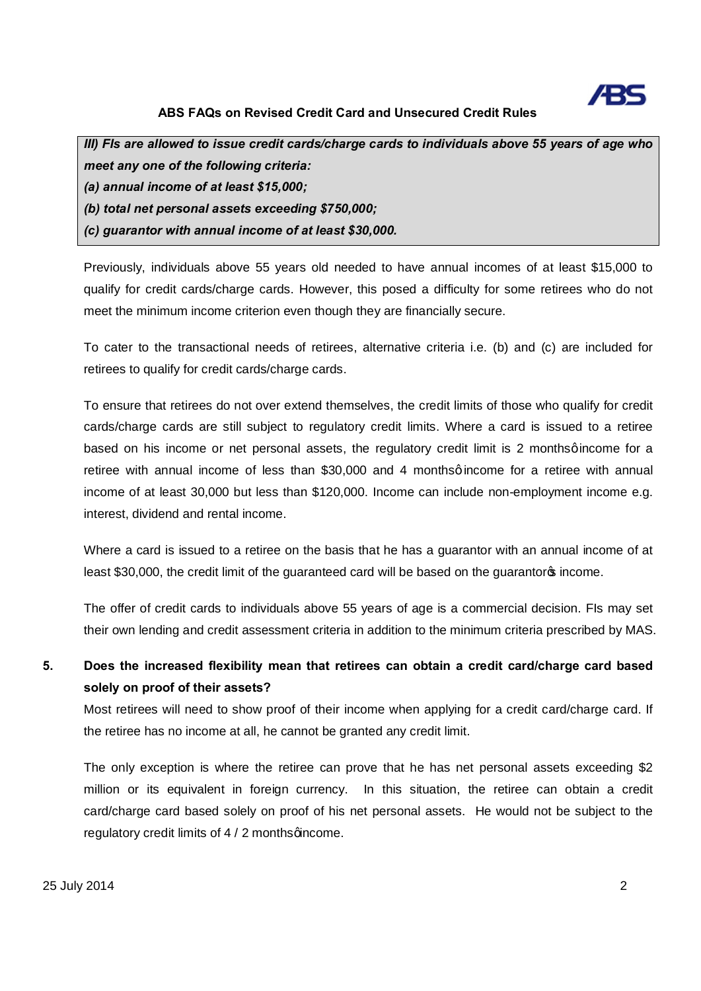

*III) FIs are allowed to issue credit cards/charge cards to individuals above 55 years of age who meet any one of the following criteria: (a) annual income of at least \$15,000; (b) total net personal assets exceeding \$750,000; (c) guarantor with annual income of at least \$30,000.*

Previously, individuals above 55 years old needed to have annual incomes of at least \$15,000 to qualify for credit cards/charge cards. However, this posed a difficulty for some retirees who do not meet the minimum income criterion even though they are financially secure.

To cater to the transactional needs of retirees, alternative criteria i.e. (b) and (c) are included for retirees to qualify for credit cards/charge cards.

To ensure that retirees do not over extend themselves, the credit limits of those who qualify for credit cards/charge cards are still subject to regulatory credit limits. Where a card is issued to a retiree based on his income or net personal assets, the regulatory credit limit is 2 monthsgincome for a retiree with annual income of less than \$30,000 and 4 monthsgincome for a retiree with annual income of at least 30,000 but less than \$120,000. Income can include non-employment income e.g. interest, dividend and rental income.

Where a card is issued to a retiree on the basis that he has a guarantor with an annual income of at least \$30,000, the credit limit of the guaranteed card will be based on the guarantor op income.

The offer of credit cards to individuals above 55 years of age is a commercial decision. FIs may set their own lending and credit assessment criteria in addition to the minimum criteria prescribed by MAS.

# **5. Does the increased flexibility mean that retirees can obtain a credit card/charge card based solely on proof of their assets?**

Most retirees will need to show proof of their income when applying for a credit card/charge card. If the retiree has no income at all, he cannot be granted any credit limit.

The only exception is where the retiree can prove that he has net personal assets exceeding \$2 million or its equivalent in foreign currency. In this situation, the retiree can obtain a credit card/charge card based solely on proof of his net personal assets. He would not be subject to the regulatory credit limits of  $4/2$  monthsgincome.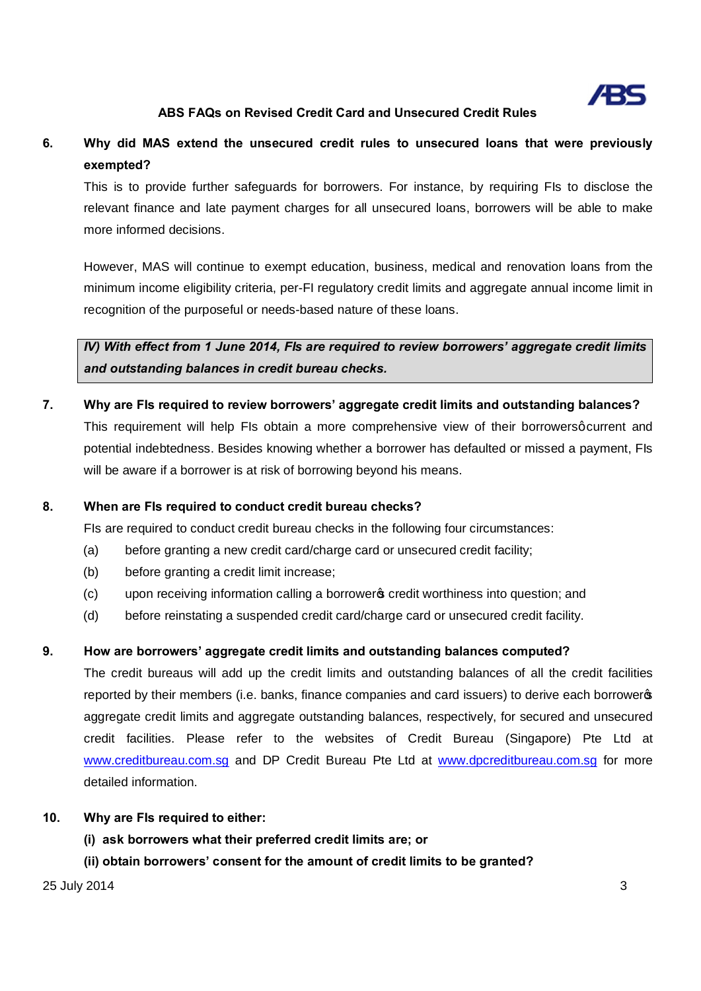

# **6. Why did MAS extend the unsecured credit rules to unsecured loans that were previously exempted?**

This is to provide further safeguards for borrowers. For instance, by requiring FIs to disclose the relevant finance and late payment charges for all unsecured loans, borrowers will be able to make more informed decisions.

However, MAS will continue to exempt education, business, medical and renovation loans from the minimum income eligibility criteria, per-FI regulatory credit limits and aggregate annual income limit in recognition of the purposeful or needs-based nature of these loans.

*IV) With effect from 1 June 2014, FIs are required to review borrowers' aggregate credit limits and outstanding balances in credit bureau checks.*

**7. Why are FIs required to review borrowers' aggregate credit limits and outstanding balances?** This requirement will help FIs obtain a more comprehensive view of their borrowersq current and potential indebtedness. Besides knowing whether a borrower has defaulted or missed a payment, FIs will be aware if a borrower is at risk of borrowing beyond his means.

#### **8. When are FIs required to conduct credit bureau checks?**

FIs are required to conduct credit bureau checks in the following four circumstances:

- (a) before granting a new credit card/charge card or unsecured credit facility;
- (b) before granting a credit limit increase;
- (c) upon receiving information calling a borrowers credit worthiness into question; and
- (d) before reinstating a suspended credit card/charge card or unsecured credit facility.

#### **9. How are borrowers' aggregate credit limits and outstanding balances computed?**

The credit bureaus will add up the credit limits and outstanding balances of all the credit facilities reported by their members (i.e. banks, finance companies and card issuers) to derive each borrowers aggregate credit limits and aggregate outstanding balances, respectively, for secured and unsecured credit facilities. Please refer to the websites of Credit Bureau (Singapore) Pte Ltd at www.creditbureau.com.sg and DP Credit Bureau Pte Ltd at www.dpcreditbureau.com.sg for more detailed information.

#### **10. Why are FIs required to either:**

**(i) ask borrowers what their preferred credit limits are; or**

**(ii) obtain borrowers' consent for the amount of credit limits to be granted?** 

 $25$  July 2014  $\overline{\phantom{a}}$  3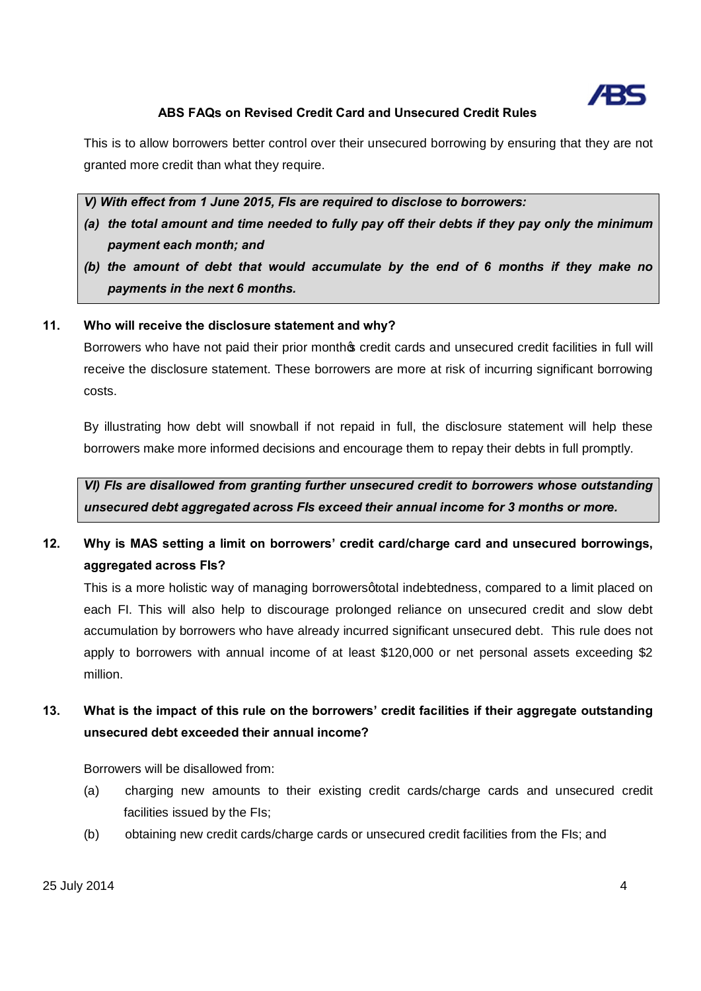

This is to allow borrowers better control over their unsecured borrowing by ensuring that they are not granted more credit than what they require.

*V) With effect from 1 June 2015, FIs are required to disclose to borrowers:*

- *(a) the total amount and time needed to fully pay off their debts if they pay only the minimum payment each month; and*
- *(b) the amount of debt that would accumulate by the end of 6 months if they make no payments in the next 6 months.*

### **11. Who will receive the disclosure statement and why?**

Borrowers who have not paid their prior month of credit cards and unsecured credit facilities in full will receive the disclosure statement. These borrowers are more at risk of incurring significant borrowing costs.

By illustrating how debt will snowball if not repaid in full, the disclosure statement will help these borrowers make more informed decisions and encourage them to repay their debts in full promptly.

*VI) FIs are disallowed from granting further unsecured credit to borrowers whose outstanding unsecured debt aggregated across FIs exceed their annual income for 3 months or more.*

**12. Why is MAS setting a limit on borrowers' credit card/charge card and unsecured borrowings, aggregated across FIs?**

This is a more holistic way of managing borrowers gtotal indebtedness, compared to a limit placed on each FI. This will also help to discourage prolonged reliance on unsecured credit and slow debt accumulation by borrowers who have already incurred significant unsecured debt. This rule does not apply to borrowers with annual income of at least \$120,000 or net personal assets exceeding \$2 million.

# **13. What is the impact of this rule on the borrowers' credit facilities if their aggregate outstanding unsecured debt exceeded their annual income?**

Borrowers will be disallowed from:

- (a) charging new amounts to their existing credit cards/charge cards and unsecured credit facilities issued by the FIs;
- (b) obtaining new credit cards/charge cards or unsecured credit facilities from the FIs; and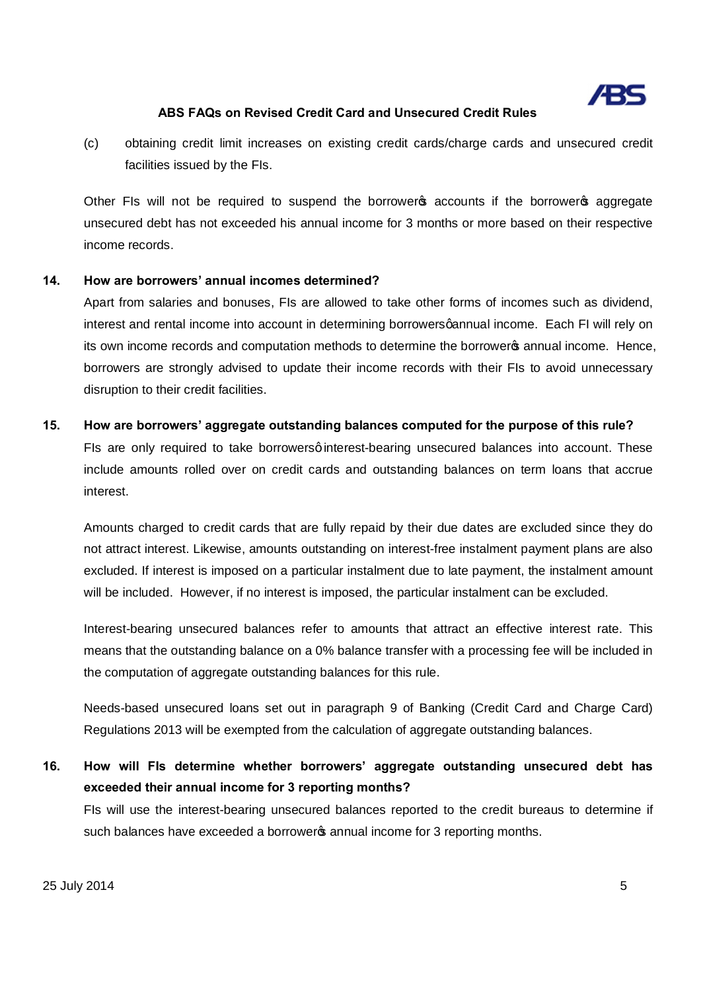

(c) obtaining credit limit increases on existing credit cards/charge cards and unsecured credit facilities issued by the FIs.

Other FIs will not be required to suspend the borrowers accounts if the borrowers aggregate unsecured debt has not exceeded his annual income for 3 months or more based on their respective income records.

#### **14. How are borrowers' annual incomes determined?**

Apart from salaries and bonuses, FIs are allowed to take other forms of incomes such as dividend, interest and rental income into account in determining borrowersgannual income. Each FI will rely on its own income records and computation methods to determine the borrowers annual income. Hence, borrowers are strongly advised to update their income records with their FIs to avoid unnecessary disruption to their credit facilities.

#### **15. How are borrowers' aggregate outstanding balances computed for the purpose of this rule?**

FIs are only required to take borrowersginterest-bearing unsecured balances into account. These include amounts rolled over on credit cards and outstanding balances on term loans that accrue interest.

Amounts charged to credit cards that are fully repaid by their due dates are excluded since they do not attract interest. Likewise, amounts outstanding on interest-free instalment payment plans are also excluded. If interest is imposed on a particular instalment due to late payment, the instalment amount will be included. However, if no interest is imposed, the particular instalment can be excluded.

Interest-bearing unsecured balances refer to amounts that attract an effective interest rate. This means that the outstanding balance on a 0% balance transfer with a processing fee will be included in the computation of aggregate outstanding balances for this rule.

Needs-based unsecured loans set out in paragraph 9 of Banking (Credit Card and Charge Card) Regulations 2013 will be exempted from the calculation of aggregate outstanding balances.

**16. How will FIs determine whether borrowers' aggregate outstanding unsecured debt has exceeded their annual income for 3 reporting months?**

FIs will use the interest-bearing unsecured balances reported to the credit bureaus to determine if such balances have exceeded a borrowers annual income for 3 reporting months.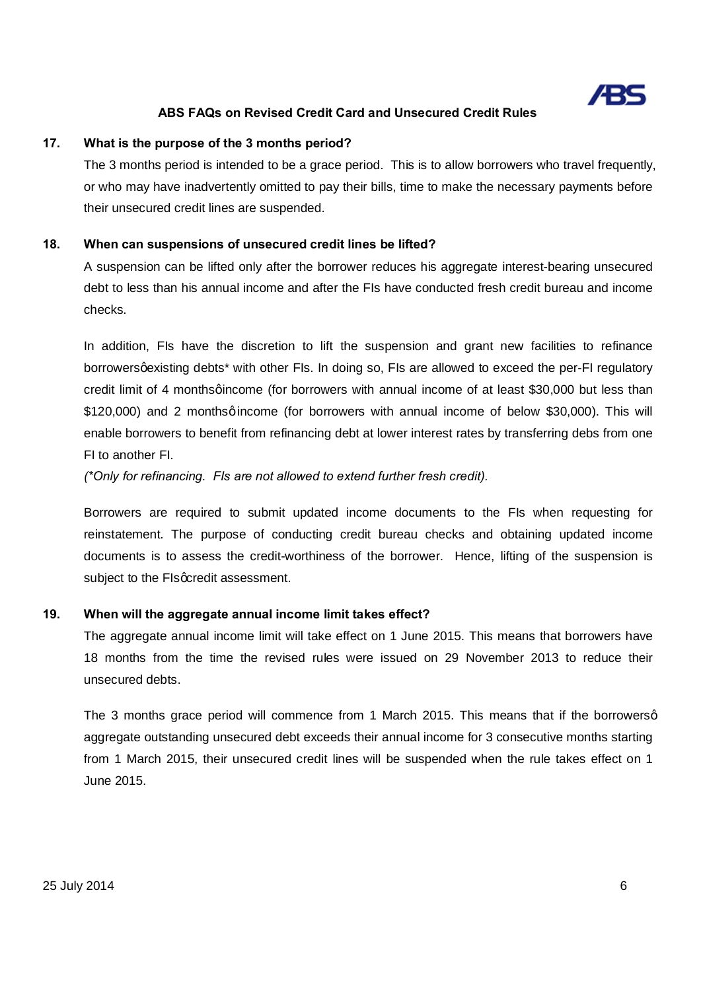

#### **17. What is the purpose of the 3 months period?**

The 3 months period is intended to be a grace period. This is to allow borrowers who travel frequently, or who may have inadvertently omitted to pay their bills, time to make the necessary payments before their unsecured credit lines are suspended.

#### **18. When can suspensions of unsecured credit lines be lifted?**

A suspension can be lifted only after the borrower reduces his aggregate interest-bearing unsecured debt to less than his annual income and after the FIs have conducted fresh credit bureau and income checks.

In addition, FIs have the discretion to lift the suspension and grant new facilities to refinance borrowersgexisting debts<sup>\*</sup> with other FIs. In doing so, FIs are allowed to exceed the per-FI regulatory credit limit of 4 monthsgincome (for borrowers with annual income of at least \$30,000 but less than \$120,000) and 2 monthsqincome (for borrowers with annual income of below \$30,000). This will enable borrowers to benefit from refinancing debt at lower interest rates by transferring debs from one FI to another FI.

*(\*Only for refinancing. FIs are not allowed to extend further fresh credit).*

Borrowers are required to submit updated income documents to the FIs when requesting for reinstatement. The purpose of conducting credit bureau checks and obtaining updated income documents is to assess the credit-worthiness of the borrower. Hence, lifting of the suspension is subject to the FIs acredit assessment.

#### **19. When will the aggregate annual income limit takes effect?**

The aggregate annual income limit will take effect on 1 June 2015. This means that borrowers have 18 months from the time the revised rules were issued on 29 November 2013 to reduce their unsecured debts.

The 3 months grace period will commence from 1 March 2015. This means that if the borrowersg aggregate outstanding unsecured debt exceeds their annual income for 3 consecutive months starting from 1 March 2015, their unsecured credit lines will be suspended when the rule takes effect on 1 June 2015.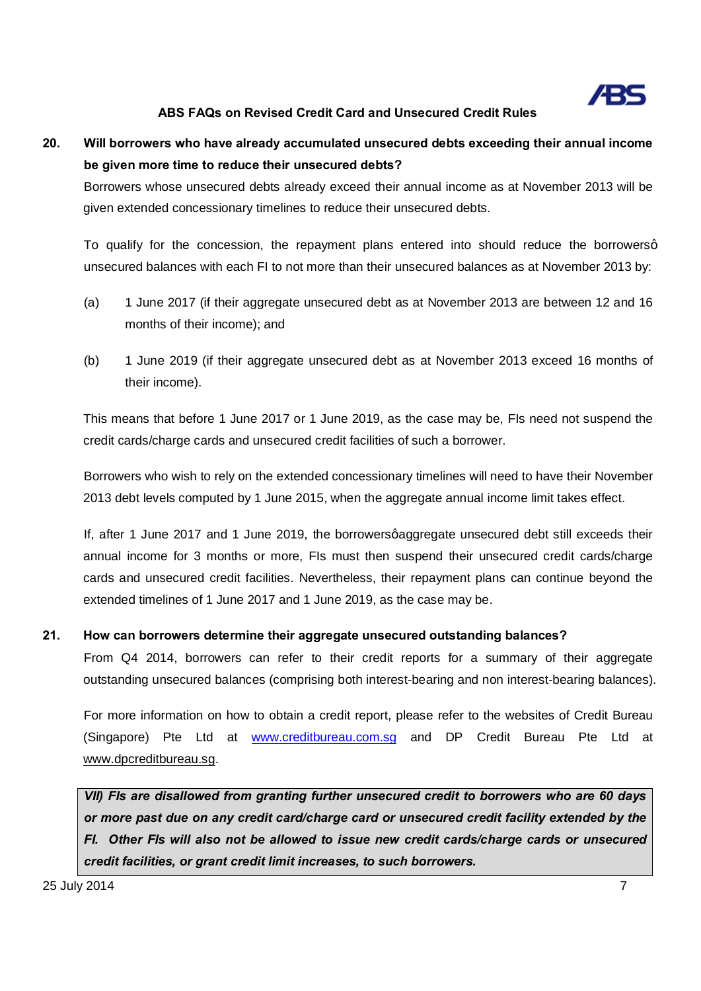

# **20. Will borrowers who have already accumulated unsecured debts exceeding their annual income be given more time to reduce their unsecured debts?**

Borrowers whose unsecured debts already exceed their annual income as at November 2013 will be given extended concessionary timelines to reduce their unsecured debts.

To qualify for the concession, the repayment plans entered into should reduce the borrowersq unsecured balances with each FI to not more than their unsecured balances as at November 2013 by:

- (a) 1 June 2017 (if their aggregate unsecured debt as at November 2013 are between 12 and 16 months of their income); and
- (b) 1 June 2019 (if their aggregate unsecured debt as at November 2013 exceed 16 months of their income).

This means that before 1 June 2017 or 1 June 2019, as the case may be, FIs need not suspend the credit cards/charge cards and unsecured credit facilities of such a borrower.

Borrowers who wish to rely on the extended concessionary timelines will need to have their November 2013 debt levels computed by 1 June 2015, when the aggregate annual income limit takes effect.

If, after 1 June 2017 and 1 June 2019, the borrowersgaggregate unsecured debt still exceeds their annual income for 3 months or more, FIs must then suspend their unsecured credit cards/charge cards and unsecured credit facilities. Nevertheless, their repayment plans can continue beyond the extended timelines of 1 June 2017 and 1 June 2019, as the case may be.

### **21. How can borrowers determine their aggregate unsecured outstanding balances?**

From Q4 2014, borrowers can refer to their credit reports for a summary of their aggregate outstanding unsecured balances (comprising both interest-bearing and non interest-bearing balances).

For more information on how to obtain a credit report, please refer to the websites of Credit Bureau (Singapore) Pte Ltd at www.creditbureau.com.sg and DP Credit Bureau Pte Ltd at www.dpcreditbureau.sg.

*VII) FIs are disallowed from granting further unsecured credit to borrowers who are 60 days or more past due on any credit card/charge card or unsecured credit facility extended by the FI. Other FIs will also not be allowed to issue new credit cards/charge cards or unsecured credit facilities, or grant credit limit increases, to such borrowers.*